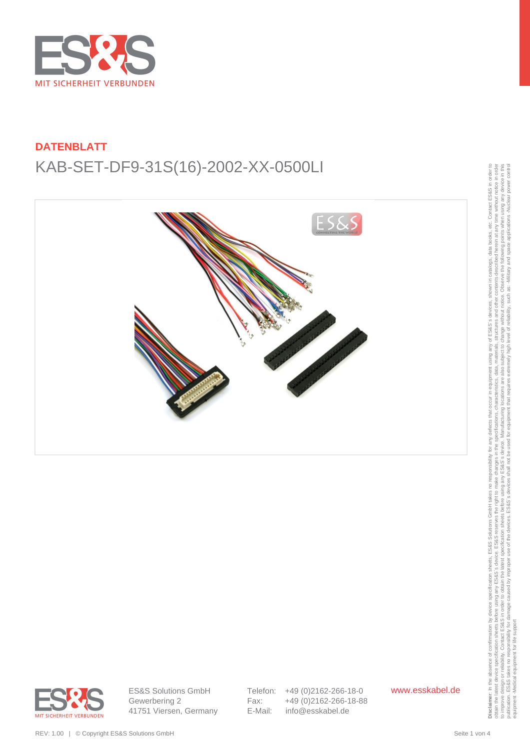



obtain the latest device specification sheets before using any ES&S's reserves the right to make changes in the specifications, characteristics, data, materials, structures and other contents described herein at any time w to improve design or reliability. Contact ESS&S in order to obtain the latest specification sheets before using any arge before using any arges before using any arges before the Sales is device. Manufacturing locations, th publication. ES&S takes no responsibility for damage caused by improper use of the devices. ES&S's devices shall not be used for equipment that requires extremely high level of reliability, such as: Alliliary and space app equipment -Medical equipment for life support



ES&S Solutions GmbH Gewerbering 2 41751 Viersen, Germany Telefon: +49 (0)2162-266-18-0 Fax: +49 (0)2162-266-18-88 E-Mail: info@esskabel.de

www.esskabel.de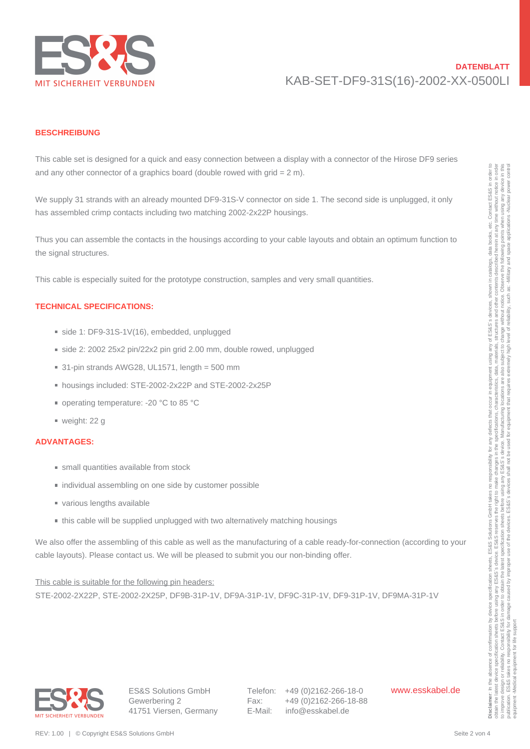

#### **BESCHREIBUNG**

This cable set is designed for a quick and easy connection between a display with a connector of the Hirose DF9 series and any other connector of a graphics board (double rowed with grid  $= 2$  m).

We supply 31 strands with an already mounted DF9-31S-V connector on side 1. The second side is unplugged, it only has assembled crimp contacts including two matching 2002-2x22P housings.

Thus you can assemble the contacts in the housings according to your cable layouts and obtain an optimum function to the signal structures. and any other connection of a graphical board blockle overal with a dia-<br>
We argely site mental with an animation (Fig.18) = Visual connection of the fig.18)<br>
This paper is a metallican orientation (Fig.18) = Visual contr

This cable is especially suited for the prototype construction, samples and very small quantities.

#### **TECHNICAL SPECIFICATIONS:**

- side 1: DF9-31S-1V(16), embedded, unplugged
- side 2: 2002 25x2 pin/22x2 pin grid 2.00 mm, double rowed, unplugged
- $\blacksquare$  31-pin strands AWG28, UL1571, length = 500 mm
- housings included: STE-2002-2x22P and STE-2002-2x25P
- operating temperature: -20 °C to 85 °C
- weight: 22 g

#### **ADVANTAGES:**

- small quantities available from stock
- individual assembling on one side by customer possible
- various lengths available
- this cable will be supplied unplugged with two alternatively matching housings

We also offer the assembling of this cable as well as the manufacturing of a cable ready-for-connection (according to your cable layouts). Please contact us. We will be pleased to submit you our non-binding offer.

This cable is suitable for the following pin headers: STE-2002-2X22P, STE-2002-2X25P, DF9B-31P-1V, DF9A-31P-1V, DF9C-31P-1V, DF9-31P-1V, DF9MA-31P-1V

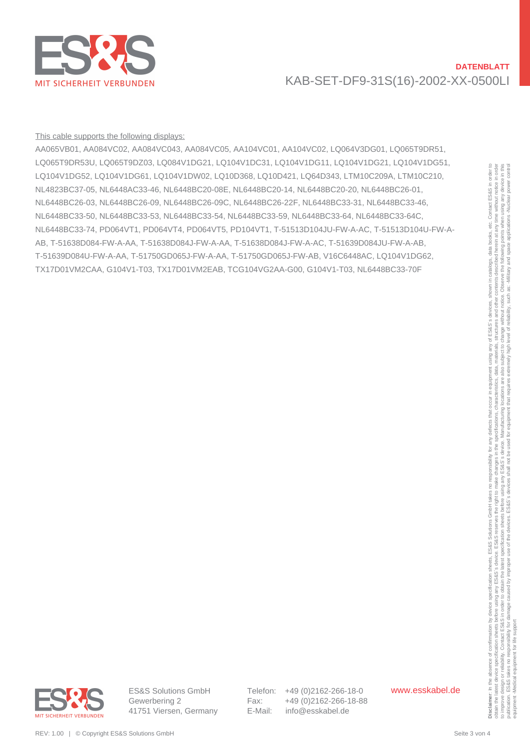

#### This cable supports the following displays:

AA065VB01, AA084VC02, AA084VC043, AA084VC05, AA104VC01, AA104VC02, LQ064V3DG01, LQ065T9DR51, LQ065T9DR53U, LQ065T9DZ03, LQ084V1DG21, LQ104V1DC31, LQ104V1DG11, LQ104V1DG21, LQ104V1DG51, LQ104V1DG52, LQ104V1DG61, LQ104V1DW02, LQ10D368, LQ10D421, LQ64D343, LTM10C209A, LTM10C210, NL4823BC37-05, NL6448AC33-46, NL6448BC20-08E, NL6448BC20-14, NL6448BC20-20, NL6448BC26-01, NL6448BC26-03, NL6448BC26-09, NL6448BC26-09C, NL6448BC26-22F, NL6448BC33-31, NL6448BC33-46, NL6448BC33-50, NL6448BC33-53, NL6448BC33-54, NL6448BC33-59, NL6448BC33-64, NL6448BC33-64C, NL6448BC33-74, PD064VT1, PD064VT4, PD064VT5, PD104VT1, T-51513D104JU-FW-A-AC, T-51513D104U-FW-A-AB, T-51638D084-FW-A-AA, T-51638D084J-FW-A-AA, T-51638D084J-FW-A-AC, T-51639D084JU-FW-A-AB, T-51639D084U-FW-A-AA, T-51750GD065J-FW-A-AA, T-51750GD065J-FW-AB, V16C6448AC, LQ104V1DG62, TX17D01VM2CAA, G104V1-T03, TX17D01VM2EAB, TCG104VG2AA-G00, G104V1-T03, NL6448BC33-70F LO CHAPTER LOTAY UNIVERSITY (LOTAY CHOMOROLOGY) COMPANY (LOTAY CHOMOROLOGY) (LOTAY CHOMOROLOGY) (LOTAY CHOMOROLOGY) (LOTAY CHOMOROLOGY) (LOTAY CHOMOROLOGY) (LOTAY CHOMOROLOGY) (LOTAY CHOMOROLOGY) (LOTAY CHOMOROLOGY) (LOTA



Telefon: +49 (0)2162-266-18-0 Fax: +49 (0)2162-266-18-88 E-Mail: info@esskabel.de

www.esskabel.de